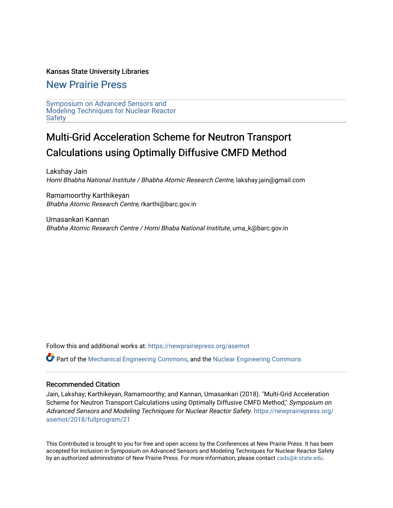# Kansas State University Libraries

[New Prairie Press](https://newprairiepress.org/) 

[Symposium on Advanced Sensors and](https://newprairiepress.org/asemot)  [Modeling Techniques for Nuclear Reactor](https://newprairiepress.org/asemot) [Safety](https://newprairiepress.org/asemot) 

# Multi-Grid Acceleration Scheme for Neutron Transport Calculations using Optimally Diffusive CMFD Method

Lakshay Jain Homi Bhabha National Institute / Bhabha Atomic Research Centre, lakshay.jain@gmail.com

Ramamoorthy Karthikeyan Bhabha Atomic Research Centre, rkarthi@barc.gov.in

Umasankari Kannan Bhabha Atomic Research Centre / Homi Bhaba National Institute, uma\_k@barc.gov.in

Follow this and additional works at: [https://newprairiepress.org/asemot](https://newprairiepress.org/asemot?utm_source=newprairiepress.org%2Fasemot%2F2018%2Ffullprogram%2F21&utm_medium=PDF&utm_campaign=PDFCoverPages) 

Part of the [Mechanical Engineering Commons,](http://network.bepress.com/hgg/discipline/293?utm_source=newprairiepress.org%2Fasemot%2F2018%2Ffullprogram%2F21&utm_medium=PDF&utm_campaign=PDFCoverPages) and the [Nuclear Engineering Commons](http://network.bepress.com/hgg/discipline/314?utm_source=newprairiepress.org%2Fasemot%2F2018%2Ffullprogram%2F21&utm_medium=PDF&utm_campaign=PDFCoverPages) 

# Recommended Citation

Jain, Lakshay; Karthikeyan, Ramamoorthy; and Kannan, Umasankari (2018). "Multi-Grid Acceleration Scheme for Neutron Transport Calculations using Optimally Diffusive CMFD Method," Symposium on Advanced Sensors and Modeling Techniques for Nuclear Reactor Safety. [https://newprairiepress.org/](https://newprairiepress.org/asemot/2018/fullprogram/21) [asemot/2018/fullprogram/21](https://newprairiepress.org/asemot/2018/fullprogram/21)

This Contributed is brought to you for free and open access by the Conferences at New Prairie Press. It has been accepted for inclusion in Symposium on Advanced Sensors and Modeling Techniques for Nuclear Reactor Safety by an authorized administrator of New Prairie Press. For more information, please contact [cads@k-state.edu](mailto:cads@k-state.edu).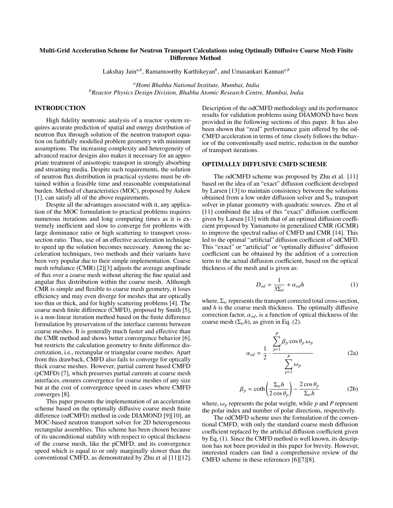# Multi-Grid Acceleration Scheme for Neutron Transport Calculations using Optimally Diffusive Coarse Mesh Finite Difference Method

Lakshay Jain*<sup>a</sup>*,*<sup>b</sup>* , Ramamoorthy Karthikeyan*<sup>b</sup>* , and Umasankari Kannan*<sup>a</sup>*,*<sup>b</sup>*

*<sup>a</sup>Homi Bhabha National Institute, Mumbai, India <sup>b</sup>Reactor Physics Design Division, Bhabha Atomic Research Centre, Mumbai, India*

## INTRODUCTION

High fidelity neutronic analysis of a reactor system requires accurate prediction of spatial and energy distribution of neutron flux through solution of the neutron transport equation on faithfully modelled problem geometry with minimum assumptions. The increasing complexity and heterogeneity of advanced reactor designs also makes it necessary for an appropriate treatment of anisotropic transport in strongly absorbing and streaming media. Despite such requirements, the solution of neutron flux distribution in practical systems must be obtained within a feasible time and reasonable computational burden. Method of characteristics (MOC), proposed by Askew [1], can satisfy all of the above requirements.

Despite all the advantages associated with it, any application of the MOC formulation to practical problems requires numerous iterations and long computing times as it is extremely inefficient and slow to converge for problems with large dominance ratio or high scattering to transport crosssection ratio. Thus, use of an effective acceleration technique to speed up the solution becomes necessary. Among the acceleration techniques, two methods and their variants have been very popular due to their simple implementation. Coarse mesh rebalance (CMR) [2][3] adjusts the average amplitude of flux over a coarse mesh without altering the fine spatial and angular flux distribution within the coarse mesh. Although CMR is simple and flexible to coarse mesh geometry, it loses efficiency and may even diverge for meshes that are optically too thin or thick, and for highly scattering problems [4]. The coarse mesh finite difference (CMFD), proposed by Smith [5], is a non-linear iteration method based on the finite difference formulation by preservation of the interface currents between coarse meshes. It is generally much faster and effective than the CMR method and shows better convergence behavior [6], but restricts the calculation geometry to finite difference discretization, i.e., rectangular or triangular coarse meshes. Apart from this drawback, CMFD also fails to converge for optically thick coarse meshes. However, partial current based CMFD (pCMFD) [7], which preserves partial currents at coarse mesh interfaces, ensures convergence for coarse meshes of any size but at the cost of convergence speed in cases where CMFD converges [8].

This paper presents the implementation of an acceleration scheme based on the optimally diffusive coarse mesh finite difference (odCMFD) method in code DIAMOND [9][10], an MOC-based neutron transport solver for 2D heterogeneous rectangular assemblies. This scheme has been chosen because of its unconditional stability with respect to optical thickness of the coarse mesh, like the pCMFD, and its convergence speed which is equal to or only marginally slower than the conventional CMFD, as demonstrated by Zhu et al [11][12]. Description of the odCMFD methodology and its performance results for validation problems using DIAMOND have been provided in the following sections of this paper. It has also been shown that "real" performance gain offered by the od-CMFD acceleration in terms of time closely follows the behavior of the conventionally used metric, reduction in the number of transport iterations.

#### OPTIMALLY DIFFUSIVE CMFD SCHEME

The odCMFD scheme was proposed by Zhu et al. [11] based on the idea of an "exact" diffusion coefficient developed by Larsen [13] to maintain consistency between the solutions obtained from a low order diffusion solver and  $S_N$  transport solver in planar geometry with quadratic sources. Zhu et al [11] combined the idea of this "exact" diffusion coefficient given by Larsen [13] with that of an optimal diffusion coefficient proposed by Yamamoto in generalized CMR (GCMR) to improve the spectral radius of CMFD and CMR [14]. This led to the optimal "artificial" diffusion coefficient of odCMFD. This "exact" or "artificial" or "optimally diffusive" diffusion coefficient can be obtained by the addition of a correction term to the actual diffusion coefficient, based on the optical thickness of the mesh and is given as:

$$
D_{od} = \frac{1}{3\Sigma_{tr}} + \alpha_{od}h
$$
 (1)

where,  $\Sigma_{tr}$  represents the transport corrected total cross-section, and *h* is the coarse mesh thickness. The optimally diffusive correction factor,  $\alpha_{od}$ , is a function of optical thickness of the coarse mesh  $(\Sigma_{tr}h)$ , as given in Eq. (2).

$$
\alpha_{od} = \frac{1}{2} \cdot \frac{\sum_{p=1}^{P} \beta_p \cos \theta_p \omega_p}{\sum_{p=1}^{P} \omega_p}
$$
 (2a)

$$
\beta_p = \coth\left(\frac{\Sigma_{tr}h}{2\cos\theta_p}\right) - \frac{2\cos\theta_p}{\Sigma_{tr}h}
$$
 (2b)

where,  $\omega_p$  represents the polar weight, while *p* and *P* represent the polar index and number of polar directions respectively the polar index and number of polar directions, respectively.

The odCMFD scheme uses the formulation of the conventional CMFD, with only the standard coarse mesh diffusion coefficient replaced by the artificial diffusion coefficient given by Eq, (1). Since the CMFD method is well known, its description has not been provided in this paper for brevity. However, interested readers can find a comprehensive review of the CMFD scheme in these references [6][7][8].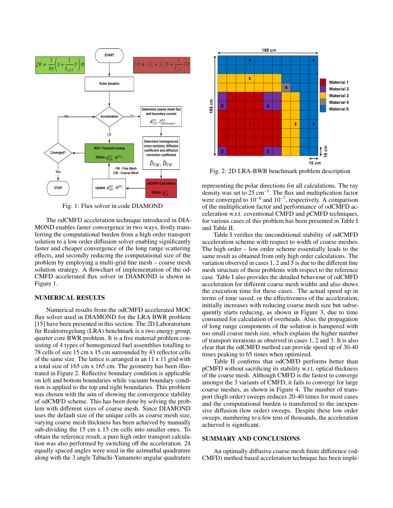

Fig. 1: Flux solver in code DIAMOND

The odCMFD acceleration technique introduced in DIA-MOND enables faster convergence in two ways, firstly transferring the computational burden from a high order transport solution to a low order diffusion solver enabling significantly faster and cheaper convergence of the long range scattering effects, and secondly reducing the computational size of the problem by employing a multi-grid fine mesh – coarse mesh solution strategy. A flowchart of implementation of the od-CMFD accelerated flux solver in DIAMOND is shown in Figure 1.

## NUMERICAL RESULTS

Numerical results from the odCMFD accelerated MOC flux solver used in DIAMOND for the LRA BWR problem [15] have been presented in this section. The 2D Laboratorium für Reaktorregelung (LRA) benchmark is a two energy group, quarter core BWR problem. It is a five material problem consisting of 4 types of homogenized fuel assemblies totalling to 78 cells of size 15 cm x 15 cm surrounded by 43 reflector cells of the same size. The lattice is arranged in an 11 x 11 grid with a total size of 165 cm x 165 cm. The geometry has been illustrated in Figure 2. Reflective boundary condition is applicable on left and bottom boundaries while vacuum boundary condition is applied to the top and right boundaries. This problem was chosen with the aim of showing the convergence stability of odCMFD scheme. This has been done by solving the problem with different sizes of coarse mesh. Since DIAMOND uses the default size of the unique cells as coarse mesh size, varying coarse mesh thickness has been achieved by manually sub-dividing the 15 cm x 15 cm cells into smaller ones. To obtain the reference result, a pure high order transport calculation was also performed by switching off the acceleration. 24 equally spaced angles were used in the azimuthal quadrature along with the 3 angle Tabuchi-Yamamoto angular quadrature



Fig. 2: 2D LRA-BWR benchmark problem description

representing the polar directions for all calculations. The ray density was set to 25 cm<sup>−</sup><sup>1</sup> . The flux and multiplication factor were converged to 10<sup>-6</sup> and 10<sup>-7</sup>, respectively. A comparison of the multiplication factor and performance of odCMFD acceleration w.r.t. coventional CMFD and pCMFD techniques, for various cases of this problem has been presented in Table I and Table II.

Table I verifies the unconditional stability of odCMFD acceleration scheme with respect to width of coarse meshes. The high order – low order scheme essentially leads to the same result as obtained from only high order calculations. The variation observed in cases 1, 2 and 5 is due to the different fine mesh structure of these problems with respect to the reference case. Table I also provides the detailed behaviour of odCMFD acceleration for different coarse mesh widths and also shows the execution time for these cases. The actual speed up in terms of time saved, or the effectiveness of the acceleration, initially increases with reducing coarse mesh size but subsequently starts reducing, as shown in Figure 3, due to time consumed for calculation of overheads. Also, the propagation of long range components of the solution is hampered with too small coarse mesh size, which explains the higher number of transport iterations as observed in cases 1, 2 and 3. It is also clear that the odCMFD method can provide speed up of 30-40 times peaking to 65 times when optimized.

Table II confirms that odCMFD performs better than pCMFD without sacrificing its stability w.r.t. optical thickness of the coarse mesh. Although CMFD is the fastest to converge amongst the 3 variants of CMFD, it fails to converge for large coarse meshes, as shown in Figure 4. The number of transport (high order) sweeps reduces 20-40 times for most cases and the computational burden is transferred to the inexpensive diffusion (low order) sweeps. Despite these low order sweeps, numbering to a few tens of thousands, the acceleration achieved is significant.

#### SUMMARY AND CONCLUSIONS

An optimally diffusive coarse mesh finite difference (od-CMFD) method based acceleration technique has been imple-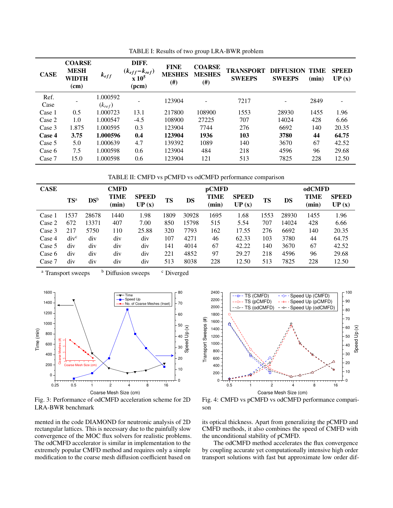| <b>CASE</b> | <b>COARSE</b><br><b>MESH</b><br>WIDTH<br>(cm) | $k_{eff}$   | DIFF.<br>$(k_{eff}-k_{ref})$<br>$\mathbf{x}$ 10 <sup>5</sup><br>(pcm) | <b>FINE</b><br><b>MESHES</b><br>$^{(\#)}$ | <b>COARSE</b><br><b>MESHES</b><br>$^{(#)}$ | TRANSPORT<br><b>SWEEPS</b> | <b>DIFFUSION</b><br><b>SWEEPS</b> | <b>TIME</b><br>(min) | <b>SPEED</b><br>UP(x) |
|-------------|-----------------------------------------------|-------------|-----------------------------------------------------------------------|-------------------------------------------|--------------------------------------------|----------------------------|-----------------------------------|----------------------|-----------------------|
| Ref.        |                                               | 1.000592    |                                                                       | 123904                                    |                                            | 7217                       | $\qquad \qquad -$                 | 2849                 | ٠                     |
| Case        |                                               | $(k_{ref})$ |                                                                       |                                           |                                            |                            |                                   |                      |                       |
| Case 1      | 0.5                                           | 1.000723    | 13.1                                                                  | 217800                                    | 108900                                     | 1553                       | 28930                             | 1455                 | 1.96                  |
| Case 2      | 1.0                                           | 1.000547    | $-4.5$                                                                | 108900                                    | 27225                                      | 707                        | 14024                             | 428                  | 6.66                  |
| Case 3      | 1.875                                         | 1.000595    | 0.3                                                                   | 123904                                    | 7744                                       | 276                        | 6692                              | 140                  | 20.35                 |
| Case 4      | 3.75                                          | 1.000596    | 0.4                                                                   | 123904                                    | 1936                                       | 103                        | 3780                              | 44                   | 64.75                 |
| Case 5      | 5.0                                           | 1.000639    | 4.7                                                                   | 139392                                    | 1089                                       | 140                        | 3670                              | 67                   | 42.52                 |
| Case 6      | 7.5                                           | 1.000598    | 0.6                                                                   | 123904                                    | 484                                        | 218                        | 4596                              | 96                   | 29.68                 |
| Case 7      | 15.0                                          | 1.000598    | 0.6                                                                   | 123904                                    | 121                                        | 513                        | 7825                              | 228                  | 12.50                 |

TABLE I: Results of two group LRA-BWR problem

TABLE II: CMFD vs pCMFD vs odCMFD performance comparison

| <b>CASE</b> | <b>CMFD</b>      |                 |               |                       | pCMFD |       |                      |                       |      | odCMFD    |                      |                       |
|-------------|------------------|-----------------|---------------|-----------------------|-------|-------|----------------------|-----------------------|------|-----------|----------------------|-----------------------|
|             | $TS^a$           | DS <sup>b</sup> | TIME<br>(min) | <b>SPEED</b><br>UP(x) | TS    | DS    | <b>TIME</b><br>(min) | <b>SPEED</b><br>UP(x) | TS   | <b>DS</b> | <b>TIME</b><br>(min) | <b>SPEED</b><br>UP(x) |
| Case 1      | 1537             | 28678           | 1440          | 1.98                  | 1809  | 30928 | 1695                 | 1.68                  | 1553 | 28930     | 1455                 | 1.96                  |
| Case 2      | 672              | 13371           | 407           | 7.00                  | 850   | 15798 | 515                  | 5.54                  | 707  | 14024     | 428                  | 6.66                  |
| Case 3      | 217              | 5750            | 110           | 25.88                 | 320   | 7793  | 162                  | 17.55                 | 276  | 6692      | 140                  | 20.35                 |
| Case 4      | div <sup>c</sup> | div             | div           | div                   | 107   | 4271  | 46                   | 62.33                 | 103  | 3780      | 44                   | 64.75                 |
| Case 5      | div              | div             | div           | div                   | 141   | 4014  | 67                   | 42.22                 | 140  | 3670      | 67                   | 42.52                 |
| Case 6      | div              | div             | div           | div                   | 221   | 4852  | 97                   | 29.27                 | 218  | 4596      | 96                   | 29.68                 |
| Case 7      | div              | div             | div           | div                   | 513   | 8038  | 228                  | 12.50                 | 513  | 7825      | 228                  | 12.50                 |

<sup>a</sup> Transport sweeps b Diffusion sweeps c Diverged



Fig. 3: Performance of odCMFD acceleration scheme for 2D LRA-BWR benchmark

mented in the code DIAMOND for neutronic analysis of 2D rectangular lattices. This is necessary due to the painfully slow convergence of the MOC flux solvers for realistic problems. The odCMFD accelerator is similar in implementation to the extremely popular CMFD method and requires only a simple 0.25 0.5 1 2 4 8 16 0.5 1 2 4 6 0.5 1 2 4 6 0.5 1 2 4 6 0.5 1 2 4 6 0.6 1 0.5 1 2 4 8 0.6 1 0.5 1 0.5 1 0.5 1 0.5 1 0.5 1 0.5 1 0.5 1 0.5 1 0.5 1 0.5 1 0.5 1 0.5 1 0.5 1 0.5 1 0.5 1 0.5 1 0.5 1 0.5 1 0.5 1 0.5 1 0.5 1 0.5



Fig. 4: CMFD vs pCMFD vs odCMFD performance comparison

its optical thickness. Apart from generalizing the pCMFD and CMFD methods, it also combines the speed of CMFD with the unconditional stability of pCMFD.

The odCMFD method accelerates the flux convergence by coupling accurate yet computationally intensive high order transport solutions with fast but approximate low order dif